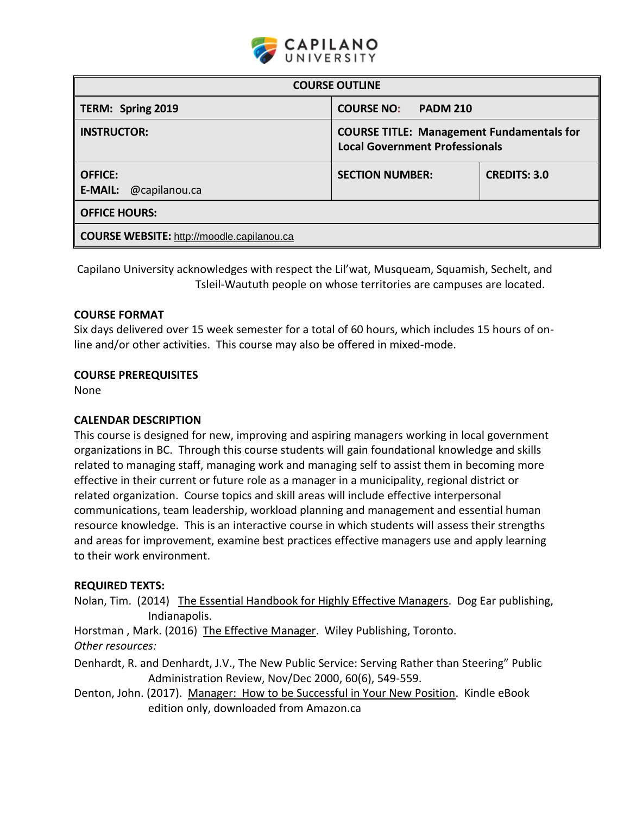

| <b>COURSE OUTLINE</b>                             |                                                                                           |                     |  |  |
|---------------------------------------------------|-------------------------------------------------------------------------------------------|---------------------|--|--|
| TERM: Spring 2019                                 | <b>COURSE NO:</b><br><b>PADM 210</b>                                                      |                     |  |  |
| <b>INSTRUCTOR:</b>                                | <b>COURSE TITLE: Management Fundamentals for</b><br><b>Local Government Professionals</b> |                     |  |  |
| <b>OFFICE:</b><br><b>E-MAIL:</b> @capilanou.ca    | <b>SECTION NUMBER:</b>                                                                    | <b>CREDITS: 3.0</b> |  |  |
| <b>OFFICE HOURS:</b>                              |                                                                                           |                     |  |  |
| <b>COURSE WEBSITE:</b> http://moodle.capilanou.ca |                                                                                           |                     |  |  |

Capilano University acknowledges with respect the Lil'wat, Musqueam, Squamish, Sechelt, and Tsleil-Waututh people on whose territories are campuses are located.

## **COURSE FORMAT**

Six days delivered over 15 week semester for a total of 60 hours, which includes 15 hours of online and/or other activities. This course may also be offered in mixed-mode.

#### **COURSE PREREQUISITES**

None

## **CALENDAR DESCRIPTION**

This course is designed for new, improving and aspiring managers working in local government organizations in BC. Through this course students will gain foundational knowledge and skills related to managing staff, managing work and managing self to assist them in becoming more effective in their current or future role as a manager in a municipality, regional district or related organization. Course topics and skill areas will include effective interpersonal communications, team leadership, workload planning and management and essential human resource knowledge. This is an interactive course in which students will assess their strengths and areas for improvement, examine best practices effective managers use and apply learning to their work environment.

#### **REQUIRED TEXTS:**

Nolan, Tim. (2014) The Essential Handbook for Highly Effective Managers. Dog Ear publishing, Indianapolis.

Horstman, Mark. (2016) The Effective Manager. Wiley Publishing, Toronto. *Other resources:*

Denhardt, R. and Denhardt, J.V., The New Public Service: Serving Rather than Steering" Public Administration Review, Nov/Dec 2000, 60(6), 549-559.

Denton, John. (2017). Manager: How to be Successful in Your New Position. Kindle eBook edition only, downloaded from Amazon.ca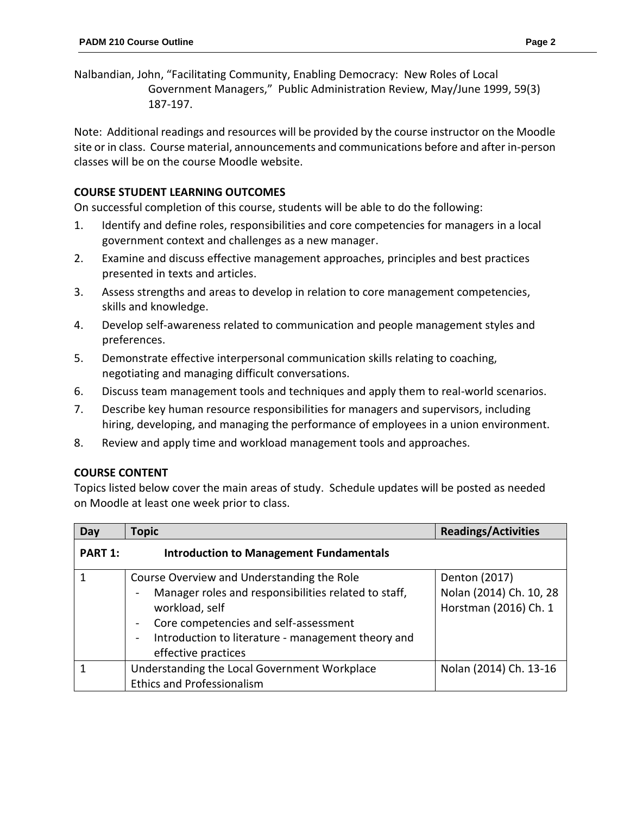Nalbandian, John, "Facilitating Community, Enabling Democracy: New Roles of Local Government Managers," Public Administration Review, May/June 1999, 59(3) 187-197.

Note: Additional readings and resources will be provided by the course instructor on the Moodle site or in class. Course material, announcements and communications before and after in-person classes will be on the course Moodle website.

## **COURSE STUDENT LEARNING OUTCOMES**

On successful completion of this course, students will be able to do the following:

- 1. Identify and define roles, responsibilities and core competencies for managers in a local government context and challenges as a new manager.
- 2. Examine and discuss effective management approaches, principles and best practices presented in texts and articles.
- 3. Assess strengths and areas to develop in relation to core management competencies, skills and knowledge.
- 4. Develop self-awareness related to communication and people management styles and preferences.
- 5. Demonstrate effective interpersonal communication skills relating to coaching, negotiating and managing difficult conversations.
- 6. Discuss team management tools and techniques and apply them to real-world scenarios.
- 7. Describe key human resource responsibilities for managers and supervisors, including hiring, developing, and managing the performance of employees in a union environment.
- 8. Review and apply time and workload management tools and approaches.

## **COURSE CONTENT**

Topics listed below cover the main areas of study. Schedule updates will be posted as needed on Moodle at least one week prior to class.

| Day     | <b>Topic</b>                                                                   | <b>Readings/Activities</b> |
|---------|--------------------------------------------------------------------------------|----------------------------|
| PART 1: | <b>Introduction to Management Fundamentals</b>                                 |                            |
| 1       | Course Overview and Understanding the Role                                     | Denton (2017)              |
|         | Manager roles and responsibilities related to staff,                           | Nolan (2014) Ch. 10, 28    |
|         | workload, self                                                                 | Horstman (2016) Ch. 1      |
|         | Core competencies and self-assessment                                          |                            |
|         | Introduction to literature - management theory and<br>$\overline{\phantom{0}}$ |                            |
|         | effective practices                                                            |                            |
| 1       | Understanding the Local Government Workplace                                   | Nolan (2014) Ch. 13-16     |
|         | <b>Ethics and Professionalism</b>                                              |                            |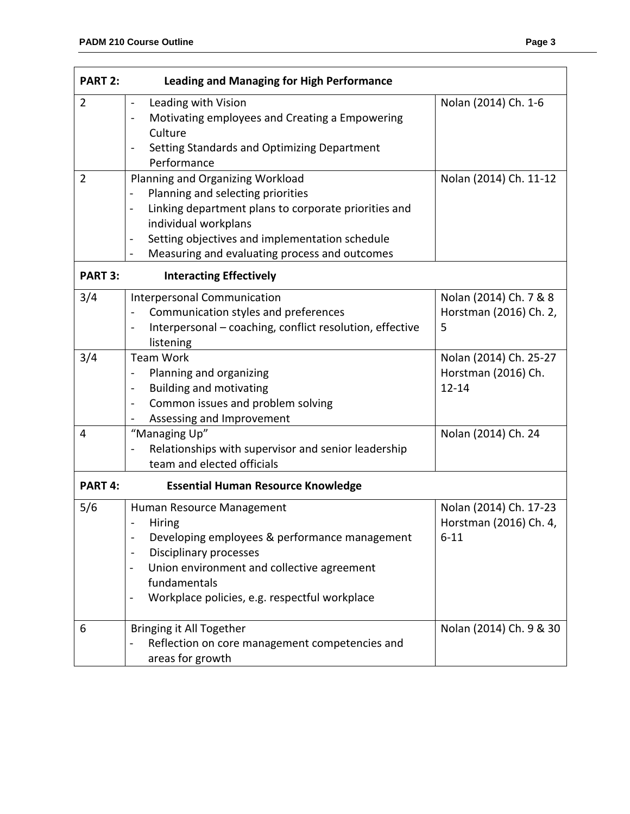| <b>PART 2:</b> | <b>Leading and Managing for High Performance</b>                                                                                                                                                                                                                                |                                                              |
|----------------|---------------------------------------------------------------------------------------------------------------------------------------------------------------------------------------------------------------------------------------------------------------------------------|--------------------------------------------------------------|
| 2              | Leading with Vision<br>Motivating employees and Creating a Empowering<br>$\blacksquare$<br>Culture<br>Setting Standards and Optimizing Department<br>Performance                                                                                                                | Nolan (2014) Ch. 1-6                                         |
| 2              | Planning and Organizing Workload<br>Planning and selecting priorities<br>$\blacksquare$<br>Linking department plans to corporate priorities and<br>individual workplans<br>Setting objectives and implementation schedule<br>Measuring and evaluating process and outcomes<br>- | Nolan (2014) Ch. 11-12                                       |
| <b>PART 3:</b> | <b>Interacting Effectively</b>                                                                                                                                                                                                                                                  |                                                              |
| 3/4            | Interpersonal Communication<br>Communication styles and preferences<br>Interpersonal - coaching, conflict resolution, effective<br>listening                                                                                                                                    | Nolan (2014) Ch. 7 & 8<br>Horstman (2016) Ch. 2,<br>5        |
| 3/4            | <b>Team Work</b><br>Planning and organizing<br><b>Building and motivating</b><br>$\blacksquare$<br>Common issues and problem solving<br>$\blacksquare$<br>Assessing and Improvement                                                                                             | Nolan (2014) Ch. 25-27<br>Horstman (2016) Ch.<br>$12 - 14$   |
| 4              | "Managing Up"<br>Relationships with supervisor and senior leadership<br>team and elected officials                                                                                                                                                                              | Nolan (2014) Ch. 24                                          |
| PART 4:        | <b>Essential Human Resource Knowledge</b>                                                                                                                                                                                                                                       |                                                              |
| 5/6            | Human Resource Management<br>Hiring<br>Developing employees & performance management<br>Disciplinary processes<br>Union environment and collective agreement<br>fundamentals<br>Workplace policies, e.g. respectful workplace                                                   | Nolan (2014) Ch. 17-23<br>Horstman (2016) Ch. 4,<br>$6 - 11$ |
| 6              | Bringing it All Together<br>Reflection on core management competencies and<br>$\overline{a}$<br>areas for growth                                                                                                                                                                | Nolan (2014) Ch. 9 & 30                                      |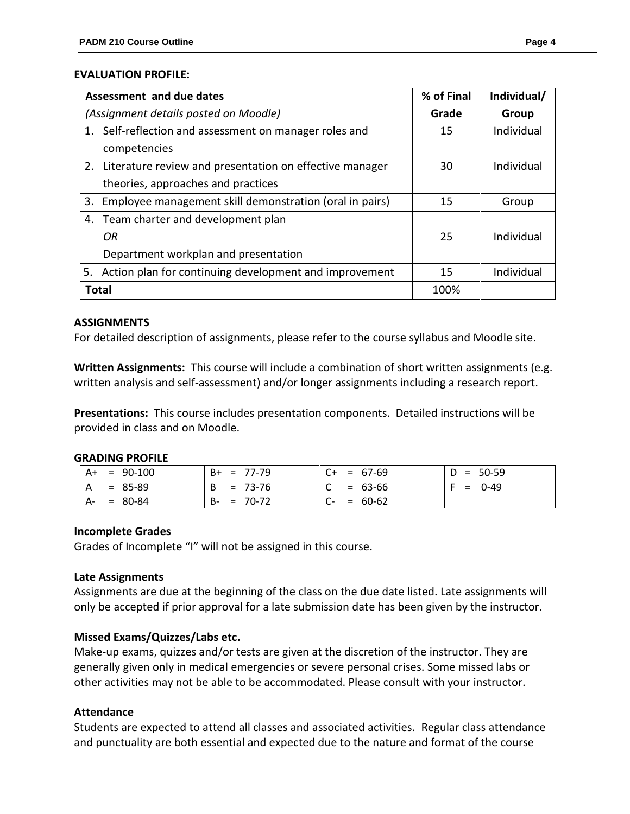#### **EVALUATION PROFILE:**

|                                       | Assessment and due dates                                   | % of Final | Individual/ |
|---------------------------------------|------------------------------------------------------------|------------|-------------|
| (Assignment details posted on Moodle) |                                                            | Grade      | Group       |
|                                       | 1. Self-reflection and assessment on manager roles and     | 15         | Individual  |
|                                       | competencies                                               |            |             |
|                                       | 2. Literature review and presentation on effective manager | 30         | Individual  |
|                                       | theories, approaches and practices                         |            |             |
| 3.                                    | Employee management skill demonstration (oral in pairs)    | 15         | Group       |
|                                       | 4. Team charter and development plan                       |            |             |
|                                       | OR                                                         | 25         | Individual  |
|                                       | Department workplan and presentation                       |            |             |
| 5.                                    | Action plan for continuing development and improvement     | 15         | Individual  |
| <b>Total</b>                          |                                                            | 100%       |             |

#### **ASSIGNMENTS**

For detailed description of assignments, please refer to the course syllabus and Moodle site.

**Written Assignments:** This course will include a combination of short written assignments (e.g. written analysis and self-assessment) and/or longer assignments including a research report.

**Presentations:** This course includes presentation components. Detailed instructions will be provided in class and on Moodle.

#### **GRADING PROFILE**

| $A+$<br>$= 90-100$ | $B+ = 77-79$  | $C+ = 67-69$              | $D = 50-59$ |
|--------------------|---------------|---------------------------|-------------|
| A<br>$= 85-89$     | $B = 73-76$   | $\mathsf{C}$<br>$= 63-66$ | $= 0.49$    |
| A-<br>$= 80 - 84$  | $B - = 70-72$ | $C- = 60-62$              |             |

#### **Incomplete Grades**

Grades of Incomplete "I" will not be assigned in this course.

#### **Late Assignments**

Assignments are due at the beginning of the class on the due date listed. Late assignments will only be accepted if prior approval for a late submission date has been given by the instructor.

## **Missed Exams/Quizzes/Labs etc.**

Make-up exams, quizzes and/or tests are given at the discretion of the instructor. They are generally given only in medical emergencies or severe personal crises. Some missed labs or other activities may not be able to be accommodated. Please consult with your instructor.

## **Attendance**

Students are expected to attend all classes and associated activities. Regular class attendance and punctuality are both essential and expected due to the nature and format of the course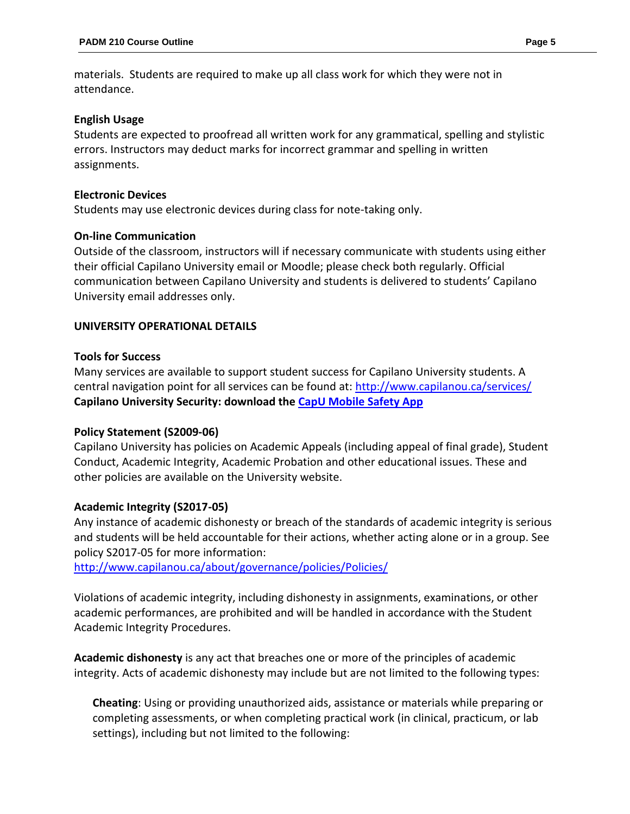materials. Students are required to make up all class work for which they were not in attendance.

## **English Usage**

Students are expected to proofread all written work for any grammatical, spelling and stylistic errors. Instructors may deduct marks for incorrect grammar and spelling in written assignments.

### **Electronic Devices**

Students may use electronic devices during class for note-taking only.

#### **On-line Communication**

Outside of the classroom, instructors will if necessary communicate with students using either their official Capilano University email or Moodle; please check both regularly. Official communication between Capilano University and students is delivered to students' Capilano University email addresses only.

#### **UNIVERSITY OPERATIONAL DETAILS**

#### **Tools for Success**

Many services are available to support student success for Capilano University students. A central navigation point for all services can be found at:<http://www.capilanou.ca/services/> **Capilano University Security: download the [CapU Mobile Safety App](https://www.capilanou.ca/services/safety-security/CapU-Mobile-Safety-App/)**

## **Policy Statement (S2009-06)**

Capilano University has policies on Academic Appeals (including appeal of final grade), Student Conduct, Academic Integrity, Academic Probation and other educational issues. These and other policies are available on the University website.

## **Academic Integrity (S2017-05)**

Any instance of academic dishonesty or breach of the standards of academic integrity is serious and students will be held accountable for their actions, whether acting alone or in a group. See policy S2017-05 for more information:

<http://www.capilanou.ca/about/governance/policies/Policies/>

Violations of academic integrity, including dishonesty in assignments, examinations, or other academic performances, are prohibited and will be handled in accordance with the Student Academic Integrity Procedures.

**Academic dishonesty** is any act that breaches one or more of the principles of academic integrity. Acts of academic dishonesty may include but are not limited to the following types:

**Cheating**: Using or providing unauthorized aids, assistance or materials while preparing or completing assessments, or when completing practical work (in clinical, practicum, or lab settings), including but not limited to the following: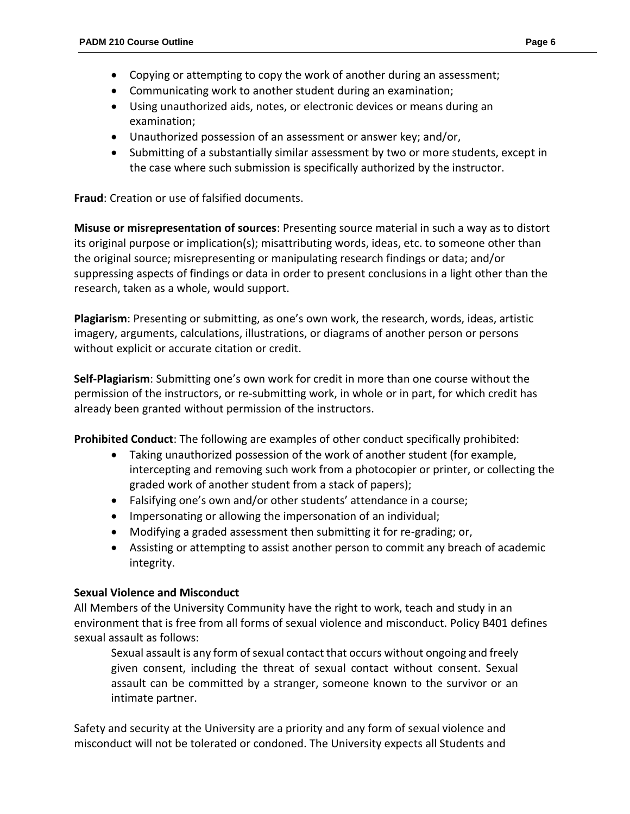- Copying or attempting to copy the work of another during an assessment;
- Communicating work to another student during an examination;
- Using unauthorized aids, notes, or electronic devices or means during an examination;
- Unauthorized possession of an assessment or answer key; and/or,
- Submitting of a substantially similar assessment by two or more students, except in the case where such submission is specifically authorized by the instructor.

**Fraud**: Creation or use of falsified documents.

**Misuse or misrepresentation of sources**: Presenting source material in such a way as to distort its original purpose or implication(s); misattributing words, ideas, etc. to someone other than the original source; misrepresenting or manipulating research findings or data; and/or suppressing aspects of findings or data in order to present conclusions in a light other than the research, taken as a whole, would support.

**Plagiarism**: Presenting or submitting, as one's own work, the research, words, ideas, artistic imagery, arguments, calculations, illustrations, or diagrams of another person or persons without explicit or accurate citation or credit.

**Self-Plagiarism**: Submitting one's own work for credit in more than one course without the permission of the instructors, or re-submitting work, in whole or in part, for which credit has already been granted without permission of the instructors.

**Prohibited Conduct**: The following are examples of other conduct specifically prohibited:

- Taking unauthorized possession of the work of another student (for example, intercepting and removing such work from a photocopier or printer, or collecting the graded work of another student from a stack of papers);
- Falsifying one's own and/or other students' attendance in a course;
- Impersonating or allowing the impersonation of an individual;
- Modifying a graded assessment then submitting it for re-grading; or,
- Assisting or attempting to assist another person to commit any breach of academic integrity.

# **Sexual Violence and Misconduct**

All Members of the University Community have the right to work, teach and study in an environment that is free from all forms of sexual violence and misconduct. Policy B401 defines sexual assault as follows:

Sexual assault is any form of sexual contact that occurs without ongoing and freely given consent, including the threat of sexual contact without consent. Sexual assault can be committed by a stranger, someone known to the survivor or an intimate partner.

Safety and security at the University are a priority and any form of sexual violence and misconduct will not be tolerated or condoned. The University expects all Students and